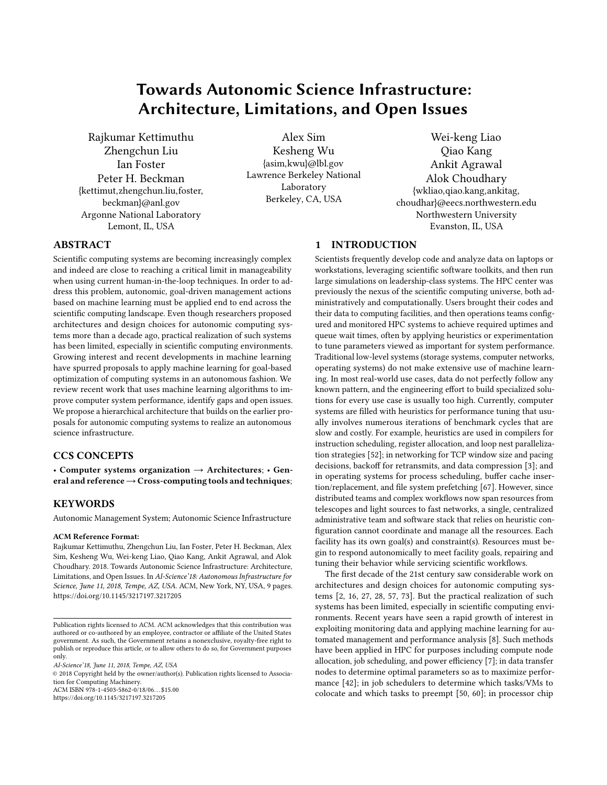# Towards Autonomic Science Infrastructure: Architecture, Limitations, and Open Issues

Rajkumar Kettimuthu Zhengchun Liu Ian Foster Peter H. Beckman {kettimut,zhengchun.liu,foster, beckman}@anl.gov Argonne National Laboratory Lemont, IL, USA

Alex Sim Kesheng Wu {asim,kwu}@lbl.gov Lawrence Berkeley National Laboratory Berkeley, CA, USA

Wei-keng Liao Qiao Kang Ankit Agrawal Alok Choudhary {wkliao,qiao.kang,ankitag, choudhar}@eecs.northwestern.edu Northwestern University Evanston, IL, USA

# ABSTRACT

Scientific computing systems are becoming increasingly complex and indeed are close to reaching a critical limit in manageability when using current human-in-the-loop techniques. In order to address this problem, autonomic, goal-driven management actions based on machine learning must be applied end to end across the scientific computing landscape. Even though researchers proposed architectures and design choices for autonomic computing systems more than a decade ago, practical realization of such systems has been limited, especially in scientific computing environments. Growing interest and recent developments in machine learning have spurred proposals to apply machine learning for goal-based optimization of computing systems in an autonomous fashion. We review recent work that uses machine learning algorithms to improve computer system performance, identify gaps and open issues. We propose a hierarchical architecture that builds on the earlier proposals for autonomic computing systems to realize an autonomous science infrastructure.

# CCS CONCEPTS

• Computer systems organization  $\rightarrow$  Architectures; • General and reference  $\rightarrow$  Cross-computing tools and techniques;

#### **KEYWORDS**

Autonomic Management System; Autonomic Science Infrastructure

#### ACM Reference Format:

Rajkumar Kettimuthu, Zhengchun Liu, Ian Foster, Peter H. Beckman, Alex Sim, Kesheng Wu, Wei-keng Liao, Qiao Kang, Ankit Agrawal, and Alok Choudhary. 2018. Towards Autonomic Science Infrastructure: Architecture, Limitations, and Open Issues. In AI-Science'18: Autonomous Infrastructure for Science, June 11, 2018, Tempe, AZ, USA. ACM, New York, NY, USA, [9](#page-8-0) pages. <https://doi.org/10.1145/3217197.3217205>

© 2018 Copyright held by the owner/author(s). Publication rights licensed to Association for Computing Machinery.

ACM ISBN 978-1-4503-5862-0/18/06. . . \$15.00

<https://doi.org/10.1145/3217197.3217205>

# 1 INTRODUCTION

Scientists frequently develop code and analyze data on laptops or workstations, leveraging scientific software toolkits, and then run large simulations on leadership-class systems. The HPC center was previously the nexus of the scientific computing universe, both administratively and computationally. Users brought their codes and their data to computing facilities, and then operations teams congured and monitored HPC systems to achieve required uptimes and queue wait times, often by applying heuristics or experimentation to tune parameters viewed as important for system performance. Traditional low-level systems (storage systems, computer networks, operating systems) do not make extensive use of machine learning. In most real-world use cases, data do not perfectly follow any known pattern, and the engineering effort to build specialized solutions for every use case is usually too high. Currently, computer systems are filled with heuristics for performance tuning that usually involves numerous iterations of benchmark cycles that are slow and costly. For example, heuristics are used in compilers for instruction scheduling, register allocation, and loop nest parallelization strategies [\[52\]](#page-8-1); in networking for TCP window size and pacing decisions, backoff for retransmits, and data compression [\[3\]](#page-7-0); and in operating systems for process scheduling, buffer cache inser-tion/replacement, and file system prefetching [\[67\]](#page-8-2). However, since distributed teams and complex workflows now span resources from telescopes and light sources to fast networks, a single, centralized administrative team and software stack that relies on heuristic con figuration cannot coordinate and manage all the resources. Each facility has its own goal(s) and constraint(s). Resources must begin to respond autonomically to meet facility goals, repairing and tuning their behavior while servicing scientific workflows.

The first decade of the 21st century saw considerable work on architectures and design choices for autonomic computing systems [\[2,](#page-7-1) [16,](#page-7-2) [27,](#page-7-3) [28,](#page-7-4) [57,](#page-8-3) [73\]](#page-8-4). But the practical realization of such systems has been limited, especially in scientific computing environments. Recent years have seen a rapid growth of interest in exploiting monitoring data and applying machine learning for automated management and performance analysis [\[8\]](#page-7-5). Such methods have been applied in HPC for purposes including compute node allocation, job scheduling, and power efficiency [\[7\]](#page-7-6); in data transfer nodes to determine optimal parameters so as to maximize performance [\[42\]](#page-7-7); in job schedulers to determine which tasks/VMs to colocate and which tasks to preempt [\[50,](#page-8-5) [60\]](#page-8-6); in processor chip

Publication rights licensed to ACM. ACM acknowledges that this contribution was authored or co-authored by an employee, contractor or affiliate of the United States government. As such, the Government retains a nonexclusive, royalty-free right to publish or reproduce this article, or to allow others to do so, for Government purposes only.

AI-Science'18, June 11, 2018, Tempe, AZ, USA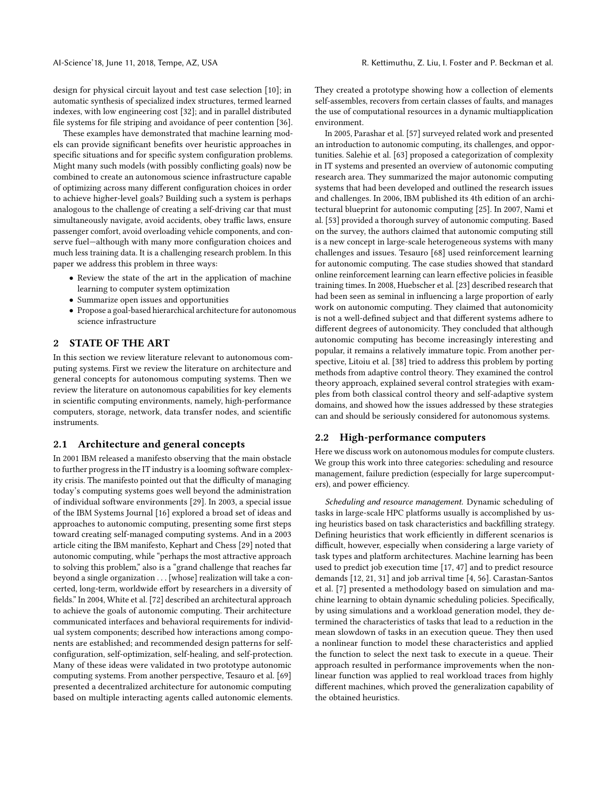design for physical circuit layout and test case selection [\[10\]](#page-7-8); in automatic synthesis of specialized index structures, termed learned indexes, with low engineering cost [\[32\]](#page-7-9); and in parallel distributed file systems for file striping and avoidance of peer contention [\[36\]](#page-7-10).

These examples have demonstrated that machine learning models can provide significant benefits over heuristic approaches in specific situations and for specific system configuration problems. Might many such models (with possibly conflicting goals) now be combined to create an autonomous science infrastructure capable of optimizing across many different configuration choices in order to achieve higher-level goals? Building such a system is perhaps analogous to the challenge of creating a self-driving car that must simultaneously navigate, avoid accidents, obey traffic laws, ensure passenger comfort, avoid overloading vehicle components, and conserve fuel-although with many more configuration choices and much less training data. It is a challenging research problem. In this paper we address this problem in three ways:

- Review the state of the art in the application of machine learning to computer system optimization
- Summarize open issues and opportunities
- Propose a goal-based hierarchical architecture for autonomous science infrastructure

## <span id="page-1-0"></span>2 STATE OF THE ART

In this section we review literature relevant to autonomous computing systems. First we review the literature on architecture and general concepts for autonomous computing systems. Then we review the literature on autonomous capabilities for key elements in scientific computing environments, namely, high-performance computers, storage, network, data transfer nodes, and scientific instruments.

#### <span id="page-1-1"></span>2.1 Architecture and general concepts

In 2001 IBM released a manifesto observing that the main obstacle to further progress in the IT industry is a looming software complexity crisis. The manifesto pointed out that the difficulty of managing today's computing systems goes well beyond the administration of individual software environments [\[29\]](#page-7-11). In 2003, a special issue of the IBM Systems Journal [\[16\]](#page-7-2) explored a broad set of ideas and approaches to autonomic computing, presenting some first steps toward creating self-managed computing systems. And in a 2003 article citing the IBM manifesto, Kephart and Chess [\[29\]](#page-7-11) noted that autonomic computing, while "perhaps the most attractive approach to solving this problem," also is a "grand challenge that reaches far beyond a single organization . . . [whose] realization will take a concerted, long-term, worldwide effort by researchers in a diversity of fields." In 2004, White et al. [\[72\]](#page-8-7) described an architectural approach to achieve the goals of autonomic computing. Their architecture communicated interfaces and behavioral requirements for individual system components; described how interactions among components are established; and recommended design patterns for selfconfiguration, self-optimization, self-healing, and self-protection. Many of these ideas were validated in two prototype autonomic computing systems. From another perspective, Tesauro et al. [\[69\]](#page-8-8) presented a decentralized architecture for autonomic computing based on multiple interacting agents called autonomic elements. They created a prototype showing how a collection of elements self-assembles, recovers from certain classes of faults, and manages the use of computational resources in a dynamic multiapplication environment.

In 2005, Parashar et al. [\[57\]](#page-8-3) surveyed related work and presented an introduction to autonomic computing, its challenges, and opportunities. Salehie et al. [\[63\]](#page-8-9) proposed a categorization of complexity in IT systems and presented an overview of autonomic computing research area. They summarized the major autonomic computing systems that had been developed and outlined the research issues and challenges. In 2006, IBM published its 4th edition of an architectural blueprint for autonomic computing [\[25\]](#page-7-12). In 2007, Nami et al. [\[53\]](#page-8-10) provided a thorough survey of autonomic computing. Based on the survey, the authors claimed that autonomic computing still is a new concept in large-scale heterogeneous systems with many challenges and issues. Tesauro [\[68\]](#page-8-11) used reinforcement learning for autonomic computing. The case studies showed that standard online reinforcement learning can learn effective policies in feasible training times. In 2008, Huebscher et al. [\[23\]](#page-7-13) described research that had been seen as seminal in influencing a large proportion of early work on autonomic computing. They claimed that autonomicity is not a well-defined subject and that different systems adhere to different degrees of autonomicity. They concluded that although autonomic computing has become increasingly interesting and popular, it remains a relatively immature topic. From another perspective, Litoiu et al. [\[38\]](#page-7-14) tried to address this problem by porting methods from adaptive control theory. They examined the control theory approach, explained several control strategies with examples from both classical control theory and self-adaptive system domains, and showed how the issues addressed by these strategies can and should be seriously considered for autonomous systems.

#### <span id="page-1-2"></span>2.2 High-performance computers

Here we discuss work on autonomous modules for compute clusters. We group this work into three categories: scheduling and resource management, failure prediction (especially for large supercomputers), and power efficiency.

Scheduling and resource management. Dynamic scheduling of tasks in large-scale HPC platforms usually is accomplished by using heuristics based on task characteristics and backfilling strategy. Defining heuristics that work efficiently in different scenarios is difficult, however, especially when considering a large variety of task types and platform architectures. Machine learning has been used to predict job execution time [\[17,](#page-7-15) [47\]](#page-8-12) and to predict resource demands [\[12,](#page-7-16) [21,](#page-7-17) [31\]](#page-7-18) and job arrival time [\[4,](#page-7-19) [56\]](#page-8-13). Carastan-Santos et al. [\[7\]](#page-7-6) presented a methodology based on simulation and machine learning to obtain dynamic scheduling policies. Specifically, by using simulations and a workload generation model, they determined the characteristics of tasks that lead to a reduction in the mean slowdown of tasks in an execution queue. They then used a nonlinear function to model these characteristics and applied the function to select the next task to execute in a queue. Their approach resulted in performance improvements when the nonlinear function was applied to real workload traces from highly different machines, which proved the generalization capability of the obtained heuristics.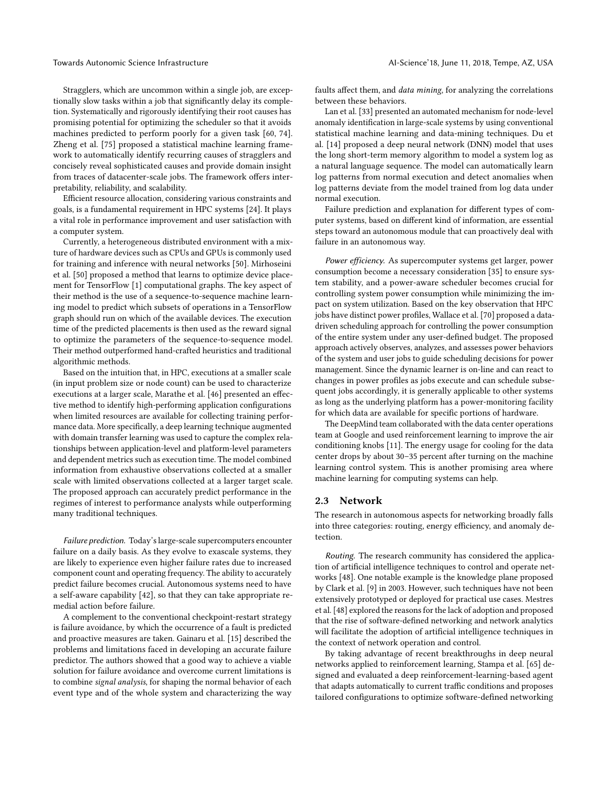Stragglers, which are uncommon within a single job, are exceptionally slow tasks within a job that significantly delay its completion. Systematically and rigorously identifying their root causes has promising potential for optimizing the scheduler so that it avoids machines predicted to perform poorly for a given task [\[60,](#page-8-6) [74\]](#page-8-14). Zheng et al. [\[75\]](#page-8-15) proposed a statistical machine learning framework to automatically identify recurring causes of stragglers and concisely reveal sophisticated causes and provide domain insight from traces of datacenter-scale jobs. The framework offers interpretability, reliability, and scalability.

Efficient resource allocation, considering various constraints and goals, is a fundamental requirement in HPC systems [\[24\]](#page-7-20). It plays a vital role in performance improvement and user satisfaction with a computer system.

Currently, a heterogeneous distributed environment with a mixture of hardware devices such as CPUs and GPUs is commonly used for training and inference with neural networks [\[50\]](#page-8-5). Mirhoseini et al. [\[50\]](#page-8-5) proposed a method that learns to optimize device placement for TensorFlow [\[1\]](#page-6-0) computational graphs. The key aspect of their method is the use of a sequence-to-sequence machine learning model to predict which subsets of operations in a TensorFlow graph should run on which of the available devices. The execution time of the predicted placements is then used as the reward signal to optimize the parameters of the sequence-to-sequence model. Their method outperformed hand-crafted heuristics and traditional algorithmic methods.

Based on the intuition that, in HPC, executions at a smaller scale (in input problem size or node count) can be used to characterize executions at a larger scale, Marathe et al. [\[46\]](#page-8-16) presented an effective method to identify high-performing application configurations when limited resources are available for collecting training performance data. More specifically, a deep learning technique augmented with domain transfer learning was used to capture the complex relationships between application-level and platform-level parameters and dependent metrics such as execution time. The model combined information from exhaustive observations collected at a smaller scale with limited observations collected at a larger target scale. The proposed approach can accurately predict performance in the regimes of interest to performance analysts while outperforming many traditional techniques.

Failure prediction. Today's large-scale supercomputers encounter failure on a daily basis. As they evolve to exascale systems, they are likely to experience even higher failure rates due to increased component count and operating frequency. The ability to accurately predict failure becomes crucial. Autonomous systems need to have a self-aware capability [\[42\]](#page-7-7), so that they can take appropriate remedial action before failure.

A complement to the conventional checkpoint-restart strategy is failure avoidance, by which the occurrence of a fault is predicted and proactive measures are taken. Gainaru et al. [\[15\]](#page-7-21) described the problems and limitations faced in developing an accurate failure predictor. The authors showed that a good way to achieve a viable solution for failure avoidance and overcome current limitations is to combine signal analysis, for shaping the normal behavior of each event type and of the whole system and characterizing the way faults affect them, and *data mining*, for analyzing the correlations between these behaviors.

Lan et al. [\[33\]](#page-7-22) presented an automated mechanism for node-level anomaly identification in large-scale systems by using conventional statistical machine learning and data-mining techniques. Du et al. [\[14\]](#page-7-23) proposed a deep neural network (DNN) model that uses the long short-term memory algorithm to model a system log as a natural language sequence. The model can automatically learn log patterns from normal execution and detect anomalies when log patterns deviate from the model trained from log data under normal execution.

Failure prediction and explanation for different types of computer systems, based on different kind of information, are essential steps toward an autonomous module that can proactively deal with failure in an autonomous way.

Power efficiency. As supercomputer systems get larger, power consumption become a necessary consideration [\[35\]](#page-7-24) to ensure system stability, and a power-aware scheduler becomes crucial for controlling system power consumption while minimizing the impact on system utilization. Based on the key observation that HPC jobs have distinct power profiles, Wallace et al. [\[70\]](#page-8-17) proposed a datadriven scheduling approach for controlling the power consumption of the entire system under any user-defined budget. The proposed approach actively observes, analyzes, and assesses power behaviors of the system and user jobs to guide scheduling decisions for power management. Since the dynamic learner is on-line and can react to changes in power profiles as jobs execute and can schedule subsequent jobs accordingly, it is generally applicable to other systems as long as the underlying platform has a power-monitoring facility for which data are available for specific portions of hardware.

The DeepMind team collaborated with the data center operations team at Google and used reinforcement learning to improve the air conditioning knobs [\[11\]](#page-7-25). The energy usage for cooling for the data center drops by about 30–35 percent after turning on the machine learning control system. This is another promising area where machine learning for computing systems can help.

#### 2.3 Network

The research in autonomous aspects for networking broadly falls into three categories: routing, energy efficiency, and anomaly detection.

Routing. The research community has considered the application of artificial intelligence techniques to control and operate networks [\[48\]](#page-8-18). One notable example is the knowledge plane proposed by Clark et al. [\[9\]](#page-7-26) in 2003. However, such techniques have not been extensively prototyped or deployed for practical use cases. Mestres et al. [\[48\]](#page-8-18) explored the reasons for the lack of adoption and proposed that the rise of software-defined networking and network analytics will facilitate the adoption of artificial intelligence techniques in the context of network operation and control.

By taking advantage of recent breakthroughs in deep neural networks applied to reinforcement learning, Stampa et al. [\[65\]](#page-8-19) designed and evaluated a deep reinforcement-learning-based agent that adapts automatically to current traffic conditions and proposes tailored configurations to optimize software-defined networking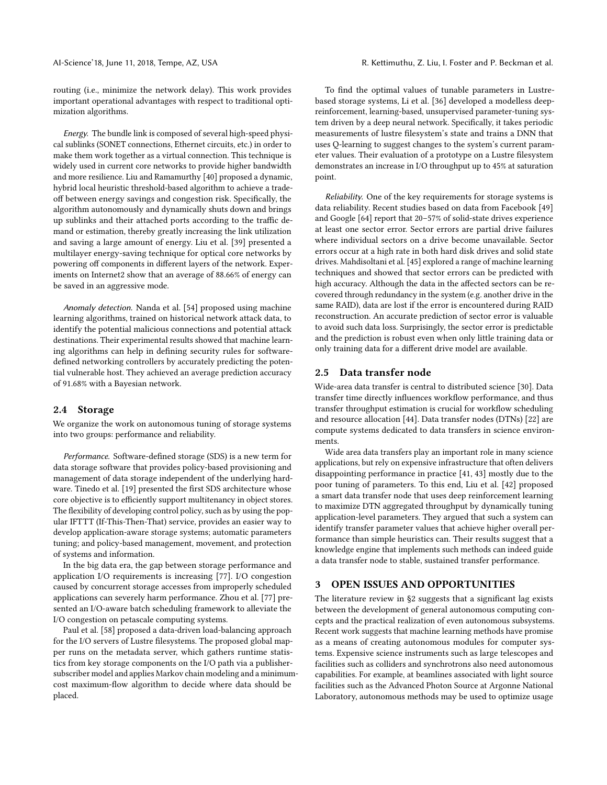routing (i.e., minimize the network delay). This work provides important operational advantages with respect to traditional optimization algorithms.

Energy. The bundle link is composed of several high-speed physical sublinks (SONET connections, Ethernet circuits, etc.) in order to make them work together as a virtual connection. This technique is widely used in current core networks to provide higher bandwidth and more resilience. Liu and Ramamurthy [\[40\]](#page-7-27) proposed a dynamic, hybrid local heuristic threshold-based algorithm to achieve a tradeoff between energy savings and congestion risk. Specifically, the algorithm autonomously and dynamically shuts down and brings up sublinks and their attached ports according to the traffic demand or estimation, thereby greatly increasing the link utilization and saving a large amount of energy. Liu et al. [\[39\]](#page-7-28) presented a multilayer energy-saving technique for optical core networks by powering off components in different layers of the network. Experiments on Internet2 show that an average of 88.66% of energy can be saved in an aggressive mode.

Anomaly detection. Nanda et al. [\[54\]](#page-8-20) proposed using machine learning algorithms, trained on historical network attack data, to identify the potential malicious connections and potential attack destinations. Their experimental results showed that machine learning algorithms can help in defining security rules for softwaredefined networking controllers by accurately predicting the potential vulnerable host. They achieved an average prediction accuracy of 91.68% with a Bayesian network.

#### 2.4 Storage

We organize the work on autonomous tuning of storage systems into two groups: performance and reliability.

Performance. Software-defined storage (SDS) is a new term for data storage software that provides policy-based provisioning and management of data storage independent of the underlying hard-ware. Tinedo et al. [\[19\]](#page-7-29) presented the first SDS architecture whose core objective is to efficiently support multitenancy in object stores. The flexibility of developing control policy, such as by using the popular IFTTT (If-This-Then-That) service, provides an easier way to develop application-aware storage systems; automatic parameters tuning; and policy-based management, movement, and protection of systems and information.

In the big data era, the gap between storage performance and application I/O requirements is increasing [\[77\]](#page-8-21). I/O congestion caused by concurrent storage accesses from improperly scheduled applications can severely harm performance. Zhou et al. [\[77\]](#page-8-21) presented an I/O-aware batch scheduling framework to alleviate the I/O congestion on petascale computing systems.

Paul et al. [\[58\]](#page-8-22) proposed a data-driven load-balancing approach for the I/O servers of Lustre filesystems. The proposed global mapper runs on the metadata server, which gathers runtime statistics from key storage components on the I/O path via a publishersubscriber model and applies Markov chain modeling and a minimumcost maximum-flow algorithm to decide where data should be placed.

To find the optimal values of tunable parameters in Lustrebased storage systems, Li et al. [\[36\]](#page-7-10) developed a modelless deepreinforcement, learning-based, unsupervised parameter-tuning system driven by a deep neural network. Specifically, it takes periodic measurements of lustre filesystem's state and trains a DNN that uses Q-learning to suggest changes to the system's current parameter values. Their evaluation of a prototype on a Lustre filesystem demonstrates an increase in I/O throughput up to 45% at saturation point.

Reliability. One of the key requirements for storage systems is data reliability. Recent studies based on data from Facebook [\[49\]](#page-8-23) and Google [\[64\]](#page-8-24) report that 20–57% of solid-state drives experience at least one sector error. Sector errors are partial drive failures where individual sectors on a drive become unavailable. Sector errors occur at a high rate in both hard disk drives and solid state drives. Mahdisoltani et al. [\[45\]](#page-8-25) explored a range of machine learning techniques and showed that sector errors can be predicted with high accuracy. Although the data in the affected sectors can be recovered through redundancy in the system (e.g. another drive in the same RAID), data are lost if the error is encountered during RAID reconstruction. An accurate prediction of sector error is valuable to avoid such data loss. Surprisingly, the sector error is predictable and the prediction is robust even when only little training data or only training data for a different drive model are available.

#### <span id="page-3-0"></span>2.5 Data transfer node

Wide-area data transfer is central to distributed science [\[30\]](#page-7-30). Data transfer time directly influences workflow performance, and thus transfer throughput estimation is crucial for workflow scheduling and resource allocation [\[44\]](#page-8-26). Data transfer nodes (DTNs) [\[22\]](#page-7-31) are compute systems dedicated to data transfers in science environments.

Wide area data transfers play an important role in many science applications, but rely on expensive infrastructure that often delivers disappointing performance in practice [\[41,](#page-7-32) [43\]](#page-7-33) mostly due to the poor tuning of parameters. To this end, Liu et al. [\[42\]](#page-7-7) proposed a smart data transfer node that uses deep reinforcement learning to maximize DTN aggregated throughput by dynamically tuning application-level parameters. They argued that such a system can identify transfer parameter values that achieve higher overall performance than simple heuristics can. Their results suggest that a knowledge engine that implements such methods can indeed guide a data transfer node to stable, sustained transfer performance.

#### 3 OPEN ISSUES AND OPPORTUNITIES

The literature review in [§2](#page-1-0) suggests that a significant lag exists between the development of general autonomous computing concepts and the practical realization of even autonomous subsystems. Recent work suggests that machine learning methods have promise as a means of creating autonomous modules for computer systems. Expensive science instruments such as large telescopes and facilities such as colliders and synchrotrons also need autonomous capabilities. For example, at beamlines associated with light source facilities such as the Advanced Photon Source at Argonne National Laboratory, autonomous methods may be used to optimize usage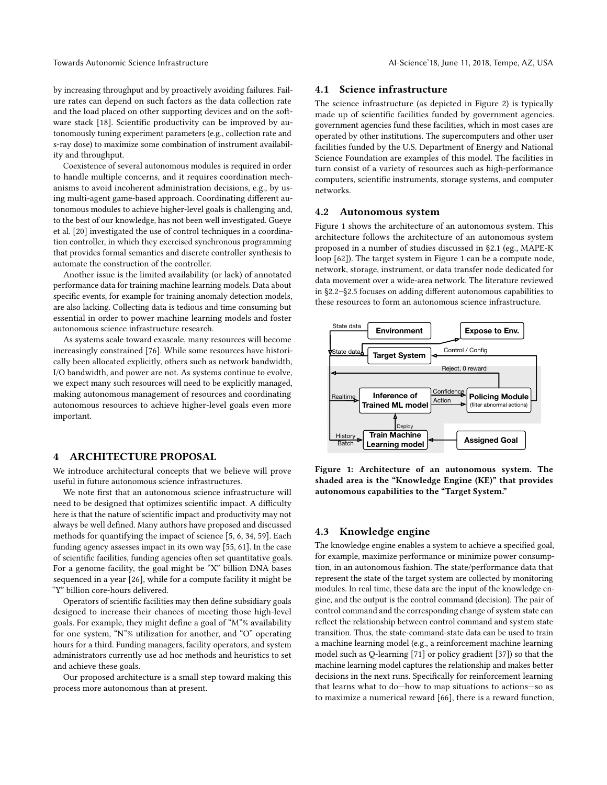by increasing throughput and by proactively avoiding failures. Failure rates can depend on such factors as the data collection rate and the load placed on other supporting devices and on the soft-ware stack [\[18\]](#page-7-34). Scientific productivity can be improved by autonomously tuning experiment parameters (e.g., collection rate and s-ray dose) to maximize some combination of instrument availability and throughput.

Coexistence of several autonomous modules is required in order to handle multiple concerns, and it requires coordination mechanisms to avoid incoherent administration decisions, e.g., by using multi-agent game-based approach. Coordinating different autonomous modules to achieve higher-level goals is challenging and, to the best of our knowledge, has not been well investigated. Gueye et al. [\[20\]](#page-7-35) investigated the use of control techniques in a coordination controller, in which they exercised synchronous programming that provides formal semantics and discrete controller synthesis to automate the construction of the controller.

Another issue is the limited availability (or lack) of annotated performance data for training machine learning models. Data about specific events, for example for training anomaly detection models, are also lacking. Collecting data is tedious and time consuming but essential in order to power machine learning models and foster autonomous science infrastructure research.

As systems scale toward exascale, many resources will become increasingly constrained [\[76\]](#page-8-27). While some resources have historically been allocated explicitly, others such as network bandwidth, I/O bandwidth, and power are not. As systems continue to evolve, we expect many such resources will need to be explicitly managed, making autonomous management of resources and coordinating autonomous resources to achieve higher-level goals even more important.

## 4 ARCHITECTURE PROPOSAL

We introduce architectural concepts that we believe will prove useful in future autonomous science infrastructures.

We note first that an autonomous science infrastructure will need to be designed that optimizes scientific impact. A difficulty here is that the nature of scientific impact and productivity may not always be well defined. Many authors have proposed and discussed methods for quantifying the impact of science [\[5,](#page-7-36) [6,](#page-7-37) [34,](#page-7-38) [59\]](#page-8-28). Each funding agency assesses impact in its own way [\[55,](#page-8-29) [61\]](#page-8-30). In the case of scientific facilities, funding agencies often set quantitative goals. For a genome facility, the goal might be "X" billion DNA bases sequenced in a year [\[26\]](#page-7-39), while for a compute facility it might be "Y" billion core-hours delivered.

Operators of scientific facilities may then define subsidiary goals designed to increase their chances of meeting those high-level goals. For example, they might define a goal of "M"% availability for one system, "N"% utilization for another, and "O" operating hours for a third. Funding managers, facility operators, and system administrators currently use ad hoc methods and heuristics to set and achieve these goals.

Our proposed architecture is a small step toward making this process more autonomous than at present.

#### 4.1 Science infrastructure

The science infrastructure (as depicted in [Figure 2\)](#page-5-0) is typically made up of scientific facilities funded by government agencies. government agencies fund these facilities, which in most cases are operated by other institutions. The supercomputers and other user facilities funded by the U.S. Department of Energy and National Science Foundation are examples of this model. The facilities in turn consist of a variety of resources such as high-performance computers, scientific instruments, storage systems, and computer networks.

#### <span id="page-4-1"></span>4.2 Autonomous system

[Figure 1](#page-4-0) shows the architecture of an autonomous system. This architecture follows the architecture of an autonomous system proposed in a number of studies discussed in [§2.1](#page-1-1) (eg., MAPE-K loop [\[62\]](#page-8-31)). The target system in [Figure 1](#page-4-0) can be a compute node, network, storage, instrument, or data transfer node dedicated for data movement over a wide-area network. The literature reviewed in  $\S$ 2.2– $\S$ 2.5 focuses on adding different autonomous capabilities to these resources to form an autonomous science infrastructure.

<span id="page-4-0"></span>

Figure 1: Architecture of an autonomous system. The shaded area is the "Knowledge Engine (KE)" that provides autonomous capabilities to the "Target System."

#### 4.3 Knowledge engine

The knowledge engine enables a system to achieve a specified goal, for example, maximize performance or minimize power consumption, in an autonomous fashion. The state/performance data that represent the state of the target system are collected by monitoring modules. In real time, these data are the input of the knowledge engine, and the output is the control command (decision). The pair of control command and the corresponding change of system state can reflect the relationship between control command and system state transition. Thus, the state-command-state data can be used to train a machine learning model (e.g., a reinforcement machine learning model such as Q-learning [\[71\]](#page-8-32) or policy gradient [\[37\]](#page-7-40)) so that the machine learning model captures the relationship and makes better decisions in the next runs. Specifically for reinforcement learning that learns what to do—how to map situations to actions—so as to maximize a numerical reward [\[66\]](#page-8-33), there is a reward function,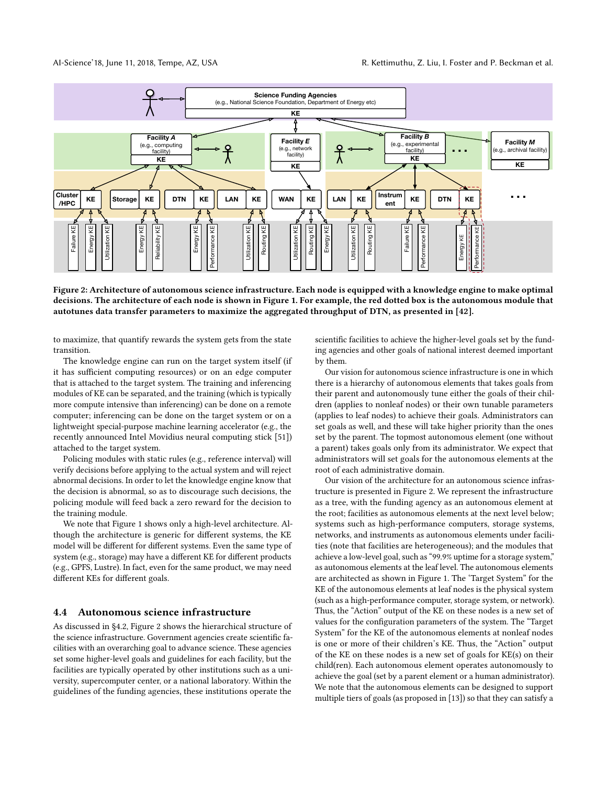<span id="page-5-0"></span>

Figure 2: Architecture of autonomous science infrastructure. Each node is equipped with a knowledge engine to make optimal decisions. The architecture of each node is shown in [Figure 1.](#page-4-0) For example, the red dotted box is the autonomous module that autotunes data transfer parameters to maximize the aggregated throughput of DTN, as presented in [\[42\]](#page-7-7).

to maximize, that quantify rewards the system gets from the state transition.

The knowledge engine can run on the target system itself (if it has sufficient computing resources) or on an edge computer that is attached to the target system. The training and inferencing modules of KE can be separated, and the training (which is typically more compute intensive than inferencing) can be done on a remote computer; inferencing can be done on the target system or on a lightweight special-purpose machine learning accelerator (e.g., the recently announced Intel Movidius neural computing stick [\[51\]](#page-8-34)) attached to the target system.

Policing modules with static rules (e.g., reference interval) will verify decisions before applying to the actual system and will reject abnormal decisions. In order to let the knowledge engine know that the decision is abnormal, so as to discourage such decisions, the policing module will feed back a zero reward for the decision to the training module.

We note that [Figure 1](#page-4-0) shows only a high-level architecture. Although the architecture is generic for different systems, the KE model will be different for different systems. Even the same type of system (e.g., storage) may have a different KE for different products (e.g., GPFS, Lustre). In fact, even for the same product, we may need different KEs for different goals.

#### 4.4 Autonomous science infrastructure

As discussed in [§4.2,](#page-4-1) [Figure 2](#page-5-0) shows the hierarchical structure of the science infrastructure. Government agencies create scientific facilities with an overarching goal to advance science. These agencies set some higher-level goals and guidelines for each facility, but the facilities are typically operated by other institutions such as a university, supercomputer center, or a national laboratory. Within the guidelines of the funding agencies, these institutions operate the

scientific facilities to achieve the higher-level goals set by the funding agencies and other goals of national interest deemed important by them.

Our vision for autonomous science infrastructure is one in which there is a hierarchy of autonomous elements that takes goals from their parent and autonomously tune either the goals of their children (applies to nonleaf nodes) or their own tunable parameters (applies to leaf nodes) to achieve their goals. Administrators can set goals as well, and these will take higher priority than the ones set by the parent. The topmost autonomous element (one without a parent) takes goals only from its administrator. We expect that administrators will set goals for the autonomous elements at the root of each administrative domain.

Our vision of the architecture for an autonomous science infrastructure is presented in [Figure 2.](#page-5-0) We represent the infrastructure as a tree, with the funding agency as an autonomous element at the root; facilities as autonomous elements at the next level below; systems such as high-performance computers, storage systems, networks, and instruments as autonomous elements under facilities (note that facilities are heterogeneous); and the modules that achieve a low-level goal, such as "99.9% uptime for a storage system," as autonomous elements at the leaf level. The autonomous elements are architected as shown in [Figure 1.](#page-4-0) The 'Target System" for the KE of the autonomous elements at leaf nodes is the physical system (such as a high-performance computer, storage system, or network). Thus, the "Action" output of the KE on these nodes is a new set of values for the configuration parameters of the system. The "Target System" for the KE of the autonomous elements at nonleaf nodes is one or more of their children's KE. Thus, the "Action" output of the KE on these nodes is a new set of goals for KE(s) on their child(ren). Each autonomous element operates autonomously to achieve the goal (set by a parent element or a human administrator). We note that the autonomous elements can be designed to support multiple tiers of goals (as proposed in [\[13\]](#page-7-41)) so that they can satisfy a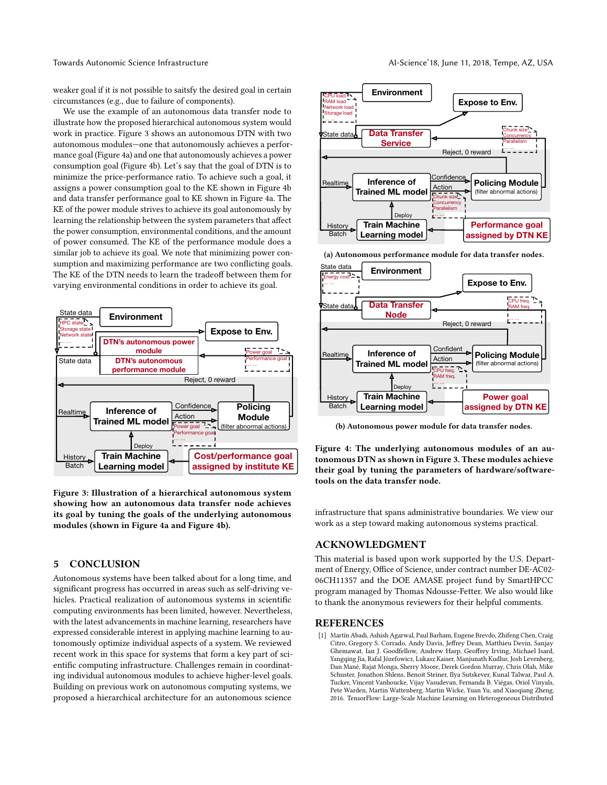weaker goal if it is not possible to saitsfy the desired goal in certain circumstances (e.g., due to failure of components).

We use the example of an autonomous data transfer node to illustrate how the proposed hierarchical autonomous system would work in practice. [Figure 3](#page-6-1) shows an autonomous DTN with two autonomous modules—one that autonomously achieves a performance goal [\(Figure 4a\)](#page-6-2) and one that autonomously achieves a power consumption goal [\(Figure 4b\)](#page-6-2). Let's say that the goal of DTN is to minimize the price-performance ratio. To achieve such a goal, it assigns a power consumption goal to the KE shown in [Figure 4b](#page-6-2) and data transfer performance goal to KE shown in [Figure 4a.](#page-6-2) The KE of the power module strives to achieve its goal autonomously by learning the relationship between the system parameters that affect the power consumption, environmental conditions, and the amount of power consumed. The KE of the performance module does a similar job to achieve its goal. We note that minimizing power consumption and maximizing performance are two conflicting goals. The KE of the DTN needs to learn the tradeoff between them for varying environmental conditions in order to achieve its goal.

<span id="page-6-1"></span>

Figure 3: Illustration of a hierarchical autonomous system showing how an autonomous data transfer node achieves its goal by tuning the goals of the underlying autonomous modules (shown in [Figure 4a](#page-6-2) and [Figure 4b\)](#page-6-2).

## 5 CONCLUSION

Autonomous systems have been talked about for a long time, and significant progress has occurred in areas such as self-driving vehicles. Practical realization of autonomous systems in scientific computing environments has been limited, however. Nevertheless, with the latest advancements in machine learning, researchers have expressed considerable interest in applying machine learning to autonomously optimize individual aspects of a system. We reviewed recent work in this space for systems that form a key part of scientific computing infrastructure. Challenges remain in coordinating individual autonomous modules to achieve higher-level goals. Building on previous work on autonomous computing systems, we proposed a hierarchical architecture for an autonomous science

<span id="page-6-2"></span>

(a) Autonomous performance module for data transfer nodes.



(b) Autonomous power module for data transfer nodes.

Figure 4: The underlying autonomous modules of an autonomous DTN as shown in [Figure 3.](#page-6-1) These modules achieve their goal by tuning the parameters of hardware/softwaretools on the data transfer node.

infrastructure that spans administrative boundaries. We view our work as a step toward making autonomous systems practical.

## ACKNOWLEDGMENT

This material is based upon work supported by the U.S. Department of Energy, Office of Science, under contract number DE-AC02-06CH11357 and the DOE AMASE project fund by SmartHPCC program managed by Thomas Ndousse-Fetter. We also would like to thank the anonymous reviewers for their helpful comments.

#### **REFERENCES**

<span id="page-6-0"></span>[1] Martín Abadi, Ashish Agarwal, Paul Barham, Eugene Brevdo, Zhifeng Chen, Craig Citro, Gregory S. Corrado, Andy Davis, Jeffrey Dean, Matthieu Devin, Sanjay Ghemawat, Ian J. Goodfellow, Andrew Harp, Geoffrey Irving, Michael Isard, Yangqing Jia, Rafal Józefowicz, Lukasz Kaiser, Manjunath Kudlur, Josh Levenberg, Dan Mané, Rajat Monga, Sherry Moore, Derek Gordon Murray, Chris Olah, Mike Schuster, Jonathon Shlens, Benoit Steiner, Ilya Sutskever, Kunal Talwar, Paul A. Tucker, Vincent Vanhoucke, Vijay Vasudevan, Fernanda B. Viégas, Oriol Vinyals, Pete Warden, Martin Wattenberg, Martin Wicke, Yuan Yu, and Xiaoqiang Zheng. 2016. TensorFlow: Large-Scale Machine Learning on Heterogeneous Distributed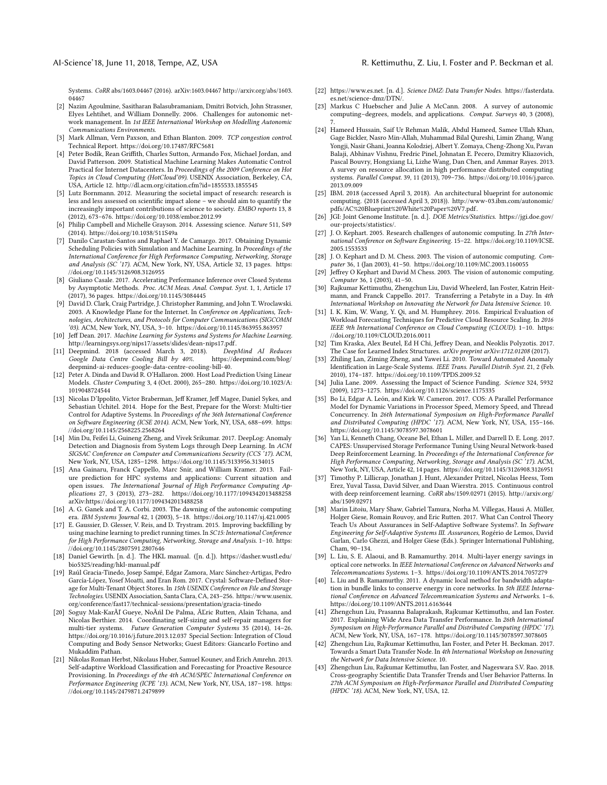#### AI-Science'18, June 11, 2018, Tempe, AZ, USA R. Kettimuthu, Z. Liu, I. Foster and P. Beckman et al.

Systems. CoRR abs/1603.04467 (2016). arXiv[:1603.04467 http://arxiv.org/abs/1603.](http://arxiv.org/abs/1603.04467) [04467](http://arxiv.org/abs/1603.04467)

- <span id="page-7-1"></span>[2] Nazim Agoulmine, Sasitharan Balasubramaniam, Dmitri Botvich, John Strassner, Elyes Lehtihet, and William Donnelly. 2006. Challenges for autonomic network management. In 1st IEEE International Workshop on Modelling Autonomic Communications Environments.
- <span id="page-7-0"></span>[3] Mark Allman, Vern Paxson, and Ethan Blanton. 2009. TCP congestion control. Technical Report.<https://doi.org/10.17487/RFC5681>
- <span id="page-7-19"></span>[4] Peter Bodík, Rean Grith, Charles Sutton, Armando Fox, Michael Jordan, and David Patterson. 2009. Statistical Machine Learning Makes Automatic Control Practical for Internet Datacenters. In Proceedings of the 2009 Conference on Hot Topics in Cloud Computing (HotCloud'09). USENIX Association, Berkeley, CA, USA, Article 12.<http://dl.acm.org/citation.cfm?id=1855533.1855545>
- <span id="page-7-36"></span>[5] Lutz Bornmann. 2012. Measuring the societal impact of research: research is less and less assessed on scientific impact alone - we should aim to quantify the increasingly important contributions of science to society. EMBO reports 13, 8 (2012), 673–676.<https://doi.org/10.1038/embor.2012.99>
- <span id="page-7-37"></span>[6] Philip Campbell and Michelle Grayson. 2014. Assessing science. Nature 511, S49 (2014).<https://doi.org/10.1038/511S49a>
- <span id="page-7-6"></span>[7] Danilo Carastan-Santos and Raphael Y. de Camargo. 2017. Obtaining Dynamic Scheduling Policies with Simulation and Machine Learning. In Proceedings of the International Conference for High Performance Computing, Networking, Storage and Analysis (SC '17). ACM, New York, NY, USA, Article 32, 13 pages. [https:](https://doi.org/10.1145/3126908.3126955) [//doi.org/10.1145/3126908.3126955](https://doi.org/10.1145/3126908.3126955)
- <span id="page-7-5"></span>[8] Giuliano Casale. 2017. Accelerating Performance Inference over Closed Systems by Asymptotic Methods. Proc. ACM Meas. Anal. Comput. Syst. 1, 1, Article 17 (2017), 36 pages.<https://doi.org/10.1145/3084445>
- <span id="page-7-26"></span>[9] David D. Clark, Craig Partridge, J. Christopher Ramming, and John T. Wroclawski. 2003. A Knowledge Plane for the Internet. In Conference on Applications, Technologies, Architectures, and Protocols for Computer Communications (SIGCOMM '03). ACM, New York, NY, USA, 3–10.<https://doi.org/10.1145/863955.863957>
- <span id="page-7-8"></span>[10] Jeff Dean. 2017. Machine Learning for Systems and Systems for Machine Learning. [http://learningsys.org/nips17/assets/slides/dean-nips17.pdf.](http://learningsys.org/nips17/assets/slides/dean-nips17.pdf)
- <span id="page-7-25"></span>[11] Deepmind. 2018 (accessed March 3, 2018). DeepMind AI Reduces Google Data Centre Cooling Bill by 40%. [deepmind-ai-reduces-google-data-centre-cooling-bill-40.](https://deepmind.com/blog/deepmind-ai-reduces-google-data-centre-cooling-bill-40)
- <span id="page-7-16"></span>[12] Peter A. Dinda and David R. O'Hallaron. 2000. Host Load Prediction Using Linear Models. Cluster Computing 3, 4 (Oct. 2000), 265–280. [https://doi.org/10.1023/A:](https://doi.org/10.1023/A:1019048724544) [1019048724544](https://doi.org/10.1023/A:1019048724544)
- <span id="page-7-41"></span>[13] Nicolas D'Ippolito, Víctor Braberman, Jeff Kramer, Jeff Magee, Daniel Sykes, and Sebastian Uchitel. 2014. Hope for the Best, Prepare for the Worst: Multi-tier Control for Adaptive Systems. In Proceedings of the 36th International Conference on Software Engineering (ICSE 2014). ACM, New York, NY, USA, 688–699. [https:](https://doi.org/10.1145/2568225.2568264) [//doi.org/10.1145/2568225.2568264](https://doi.org/10.1145/2568225.2568264)
- <span id="page-7-23"></span>[14] Min Du, Feifei Li, Guineng Zheng, and Vivek Srikumar. 2017. DeepLog: Anomaly Detection and Diagnosis from System Logs through Deep Learning. In ACM SIGSAC Conference on Computer and Communications Security (CCS '17). ACM, New York, NY, USA, 1285–1298.<https://doi.org/10.1145/3133956.3134015>
- <span id="page-7-21"></span>[15] Ana Gainaru, Franck Cappello, Marc Snir, and William Kramer. 2013. Failure prediction for HPC systems and applications: Current situation and open issues. The International Journal of High Performance Computing Applications 27, 3 (2013), 273–282.<https://doi.org/10.1177/1094342013488258> arXiv[:https://doi.org/10.1177/1094342013488258](http://arxiv.org/abs/https://doi.org/10.1177/1094342013488258)
- <span id="page-7-2"></span>[16] A. G. Ganek and T. A. Corbi. 2003. The dawning of the autonomic computing era. IBM Systems Journal 42, 1 (2003), 5–18.<https://doi.org/10.1147/sj.421.0005>
- <span id="page-7-15"></span>[17] E. Gaussier, D. Glesser, V. Reis, and D. Trystram. 2015. Improving backfilling by using machine learning to predict running times. In SC15: International Conference for High Performance Computing, Networking, Storage and Analysis. 1–10. [https:](https://doi.org/10.1145/2807591.2807646) [//doi.org/10.1145/2807591.2807646](https://doi.org/10.1145/2807591.2807646)
- <span id="page-7-34"></span>[18] Daniel Gewirth. [n. d.]. The HKL manual. ([n. d.]). [https://dasher.wustl.edu/](https://dasher.wustl.edu/bio5325/reading/hkl-manual.pdf) [bio5325/reading/hkl-manual.pdf](https://dasher.wustl.edu/bio5325/reading/hkl-manual.pdf)
- <span id="page-7-29"></span>[19] Raúl Gracia-Tinedo, Josep Sampé, Edgar Zamora, Marc Sánchez-Artigas, Pedro García-López, Yosef Moatti, and Eran Rom. 2017. Crystal: Software-Defined Storage for Multi-Tenant Object Stores. In 15th USENIX Conference on File and Storage Technologies. USENIX Association, Santa Clara, CA, 243–256. [https://www.usenix.](https://www.usenix.org/conference/fast17/technical-sessions/presentation/gracia-tinedo) [org/conference/fast17/technical-sessions/presentation/gracia-tinedo](https://www.usenix.org/conference/fast17/technical-sessions/presentation/gracia-tinedo)
- <span id="page-7-35"></span>[20] Soguy Mak-KarÃľ Gueye, NoÃńl De Palma, ÃĽric Rutten, Alain Tchana, and Nicolas Berthier. 2014. Coordinating self-sizing and self-repair managers for multi-tier systems. Future Generation Computer Systems 35 (2014), 14–26. <https://doi.org/10.1016/j.future.2013.12.037> Special Section: Integration of Cloud Computing and Body Sensor Networks; Guest Editors: Giancarlo Fortino and Mukaddim Pathan.
- <span id="page-7-17"></span>[21] Nikolas Roman Herbst, Nikolaus Huber, Samuel Kounev, and Erich Amrehn. 2013. Self-adaptive Workload Classification and Forecasting for Proactive Resource Provisioning. In Proceedings of the 4th ACM/SPEC International Conference on Performance Engineering (ICPE '13). ACM, New York, NY, USA, 187-198. [https:](https://doi.org/10.1145/2479871.2479899) [//doi.org/10.1145/2479871.2479899](https://doi.org/10.1145/2479871.2479899)
- <span id="page-7-31"></span>[22] https://www.es.net. [n. d.]. Science DMZ: Data Transfer Nodes. [https://fasterdata.](https://fasterdata.es.net/science-dmz/DTN/) [es.net/science-dmz/DTN/.](https://fasterdata.es.net/science-dmz/DTN/)
- <span id="page-7-13"></span>[23] Markus C Huebscher and Julie A McCann. 2008. A survey of autonomic computing–degrees, models, and applications. Comput. Surveys 40, 3 (2008), 7.
- <span id="page-7-20"></span>[24] Hameed Hussain, Saif Ur Rehman Malik, Abdul Hameed, Samee Ullah Khan, Gage Bickler, Nasro Min-Allah, Muhammad Bilal Qureshi, Limin Zhang, Wang Yongji, Nasir Ghani, Joanna Kolodziej, Albert Y. Zomaya, Cheng-Zhong Xu, Pavan Balaji, Abhinav Vishnu, Fredric Pinel, Johnatan E. Pecero, Dzmitry Kliazovich, Pascal Bouvry, Hongxiang Li, Lizhe Wang, Dan Chen, and Ammar Rayes. 2013. A survey on resource allocation in high performance distributed computing systems. Parallel Comput. 39, 11 (2013), 709–736. [https://doi.org/10.1016/j.parco.](https://doi.org/10.1016/j.parco.2013.09.009) [2013.09.009](https://doi.org/10.1016/j.parco.2013.09.009)
- <span id="page-7-12"></span>[25] IBM. 2018 (accessed April 3, 2018). An architectural blueprint for autonomic computing. (2018 (accessed April 3, 2018)). [http://www-03.ibm.com/autonomic/](http://www-03.ibm.com/autonomic/pdfs/AC%20Blueprint%20White%20Paper%20V7.pdf) [pdfs/AC%20Blueprint%20White%20Paper%20V7.pdf.](http://www-03.ibm.com/autonomic/pdfs/AC%20Blueprint%20White%20Paper%20V7.pdf)
- <span id="page-7-39"></span>[26] JGI: Joint Genome Institute. [n. d.]. DOE Metrics/Statistics. [https://jgi.doe.gov/](https://jgi.doe.gov/our-projects/statistics/) [our-projects/statistics/.](https://jgi.doe.gov/our-projects/statistics/)
- <span id="page-7-3"></span>[27] J. O. Kephart. 2005. Research challenges of autonomic computing. In 27th International Conference on Software Engineering. 15–22. [https://doi.org/10.1109/ICSE.](https://doi.org/10.1109/ICSE.2005.1553533) [2005.1553533](https://doi.org/10.1109/ICSE.2005.1553533)
- <span id="page-7-4"></span>[28] J. O. Kephart and D. M. Chess. 2003. The vision of autonomic computing. Computer 36, 1 (Jan 2003), 41–50.<https://doi.org/10.1109/MC.2003.1160055>
- <span id="page-7-11"></span>[29] Jeffrey O Kephart and David M Chess. 2003. The vision of autonomic computing. Computer 36, 1 (2003), 41–50.
- <span id="page-7-30"></span>[30] Rajkumar Kettimuthu, Zhengchun Liu, David Wheelerd, Ian Foster, Katrin Heitmann, and Franck Cappello. 2017. Transferring a Petabyte in a Day. In 4th International Workshop on Innovating the Network for Data Intensive Science. 10.
- <span id="page-7-18"></span>[31] I. K. Kim, W. Wang, Y. Qi, and M. Humphrey. 2016. Empirical Evaluation of Workload Forecasting Techniques for Predictive Cloud Resource Scaling. In 2016 IEEE 9th International Conference on Cloud Computing (CLOUD). 1–10. [https:](https://doi.org/10.1109/CLOUD.2016.0011) [//doi.org/10.1109/CLOUD.2016.0011](https://doi.org/10.1109/CLOUD.2016.0011)
- <span id="page-7-9"></span>[32] Tim Kraska, Alex Beutel, Ed H Chi, Jeffrey Dean, and Neoklis Polyzotis, 2017.
- <span id="page-7-22"></span>The Case for Learned Index Structures. arXiv preprint arXiv:1712.01208 (2017). [33] Zhiling Lan, Ziming Zheng, and Yawei Li. 2010. Toward Automated Anomaly Identification in Large-Scale Systems. IEEE Trans. Parallel Distrib. Syst. 21, 2 (Feb. 2010), 174–187.<https://doi.org/10.1109/TPDS.2009.52>
- <span id="page-7-38"></span>[34] Julia Lane. 2009. Assessing the Impact of Science Funding. Science 324, 5932 (2009), 1273–1275.<https://doi.org/10.1126/science.1175335>
- <span id="page-7-24"></span>[35] Bo Li, Edgar A. León, and Kirk W. Cameron. 2017. COS: A Parallel Performance Model for Dynamic Variations in Processor Speed, Memory Speed, and Thread Concurrency. In 26th International Symposium on High-Performance Parallel and Distributed Computing (HPDC '17). ACM, New York, NY, USA, 155–166. <https://doi.org/10.1145/3078597.3078601>
- <span id="page-7-10"></span>[36] Yan Li, Kenneth Chang, Oceane Bel, Ethan L. Miller, and Darrell D. E. Long. 2017. CAPES: Unsupervised Storage Performance Tuning Using Neural Network-based Deep Reinforcement Learning. In Proceedings of the International Conference for High Performance Computing, Networking, Storage and Analysis (SC '17). ACM, New York, NY, USA, Article 42, 14 pages.<https://doi.org/10.1145/3126908.3126951>
- <span id="page-7-40"></span>[37] Timothy P. Lillicrap, Jonathan J. Hunt, Alexander Pritzel, Nicolas Heess, Tom Erez, Yuval Tassa, David Silver, and Daan Wierstra. 2015. Continuous control with deep reinforcement learning. CoRR abs/1509.02971 (2015). [http://arxiv.org/](http://arxiv.org/abs/1509.02971) [abs/1509.02971](http://arxiv.org/abs/1509.02971)
- <span id="page-7-14"></span>[38] Marin Litoiu, Mary Shaw, Gabriel Tamura, Norha M. Villegas, Hausi A. Müller, Holger Giese, Romain Rouvoy, and Eric Rutten. 2017. What Can Control Theory Teach Us About Assurances in Self-Adaptive Software Systems?. In Software Engineering for Self-Adaptive Systems III. Assurances, Rogério de Lemos, David Garlan, Carlo Ghezzi, and Holger Giese (Eds.). Springer International Publishing, Cham, 90–134.
- <span id="page-7-28"></span>[39] L. Liu, S. E. Alaoui, and B. Ramamurthy. 2014. Multi-layer energy savings in optical core networks. In IEEE International Conference on Advanced Networks and Telecommuncations Systems. 1–3.<https://doi.org/10.1109/ANTS.2014.7057279>
- <span id="page-7-27"></span>[40] L. Liu and B. Ramamurthy. 2011. A dynamic local method for bandwidth adaptation in bundle links to conserve energy in core networks. In 5th IEEE International Conference on Advanced Telecommunication Systems and Networks. 1–6. <https://doi.org/10.1109/ANTS.2011.6163644>
- <span id="page-7-32"></span>[41] Zhengchun Liu, Prasanna Balaprakash, Rajkumar Kettimuthu, and Ian Foster. 2017. Explaining Wide Area Data Transfer Performance. In 26th International Symposium on High-Performance Parallel and Distributed Computing (HPDC '17). ACM, New York, NY, USA, 167–178.<https://doi.org/10.1145/3078597.3078605>
- <span id="page-7-7"></span>[42] Zhengchun Liu, Rajkumar Kettimuthu, Ian Foster, and Peter H. Beckman. 2017. Towards a Smart Data Transfer Node. In 4th International Workshop on Innovating the Network for Data Intensive Science. 10.
- <span id="page-7-33"></span>[43] Zhengchun Liu, Rajkumar Kettimuthu, Ian Foster, and Nageswara S.V. Rao. 2018. Cross-geography Scientific Data Transfer Trends and User Behavior Patterns. In 27th ACM Symposium on High-Performance Parallel and Distributed Computing (HPDC '18). ACM, New York, NY, USA, 12.